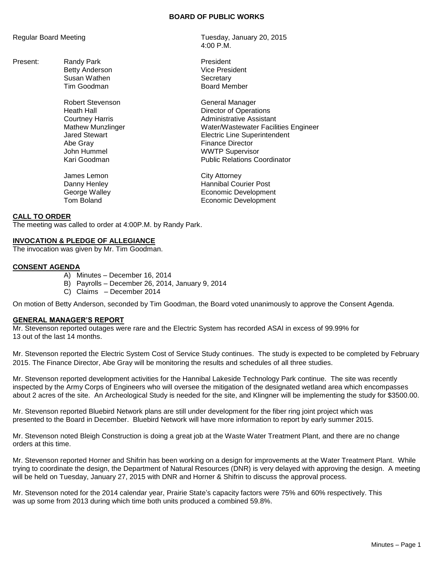#### **BOARD OF PUBLIC WORKS**

Present: Randy Park President<br>
Retty Anderson<br>
Vice President Betty Anderson Vice President Susan Wathen Vice President Secretary Susan Wathen<br>Tim Goodman

> Robert Stevenson General Manager Abe Gray **Finance Director** John Hummel WWTP Supervisor

James Lemon City Attorney

Regular Board Meeting Tuesday, January 20, 2015 4:00 P.M.

Board Member

Heath Hall Director of Operations Courtney Harris **Administrative Assistant** Mathew Munzlinger Water/Wastewater Facilities Engineer Jared Stewart Electric Line Superintendent **Public Relations Coordinator** 

Danny Henley **Hannibal Courier Post** George Walley **Example 20** Economic Development Tom Boland **Example 2018** Economic Development

## **CALL TO ORDER**

The meeting was called to order at 4:00P.M. by Randy Park.

#### **INVOCATION & PLEDGE OF ALLEGIANCE**

The invocation was given by Mr. Tim Goodman.

## **CONSENT AGENDA**

- A) Minutes December 16, 2014
- B) Payrolls December 26, 2014, January 9, 2014
- C) Claims December 2014

On motion of Betty Anderson, seconded by Tim Goodman, the Board voted unanimously to approve the Consent Agenda.

#### **GENERAL MANAGER'S REPORT**

Mr. Stevenson reported outages were rare and the Electric System has recorded ASAI in excess of 99.99% for 13 out of the last 14 months.

Mr. Stevenson reported the Electric System Cost of Service Study continues. The study is expected to be completed by February 2015. The Finance Director, Abe Gray will be monitoring the results and schedules of all three studies.

Mr. Stevenson reported development activities for the Hannibal Lakeside Technology Park continue. The site was recently inspected by the Army Corps of Engineers who will oversee the mitigation of the designated wetland area which encompasses about 2 acres of the site. An Archeological Study is needed for the site, and Klingner will be implementing the study for \$3500.00.

Mr. Stevenson reported Bluebird Network plans are still under development for the fiber ring joint project which was presented to the Board in December. Bluebird Network will have more information to report by early summer 2015.

Mr. Stevenson noted Bleigh Construction is doing a great job at the Waste Water Treatment Plant, and there are no change orders at this time.

Mr. Stevenson reported Horner and Shifrin has been working on a design for improvements at the Water Treatment Plant. While trying to coordinate the design, the Department of Natural Resources (DNR) is very delayed with approving the design. A meeting will be held on Tuesday, January 27, 2015 with DNR and Horner & Shifrin to discuss the approval process.

Mr. Stevenson noted for the 2014 calendar year, Prairie State's capacity factors were 75% and 60% respectively. This was up some from 2013 during which time both units produced a combined 59.8%.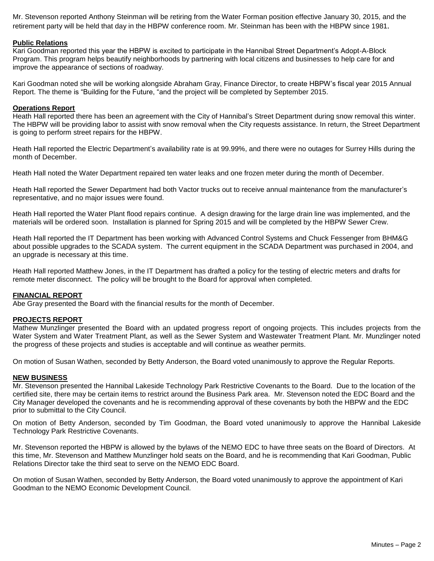Mr. Stevenson reported Anthony Steinman will be retiring from the Water Forman position effective January 30, 2015, and the retirement party will be held that day in the HBPW conference room. Mr. Steinman has been with the HBPW since 1981.

# **Public Relations**

Kari Goodman reported this year the HBPW is excited to participate in the Hannibal Street Department's Adopt-A-Block Program. This program helps beautify neighborhoods by partnering with local citizens and businesses to help care for and improve the appearance of sections of roadway.

Kari Goodman noted she will be working alongside Abraham Gray, Finance Director, to create HBPW's fiscal year 2015 Annual Report. The theme is "Building for the Future, "and the project will be completed by September 2015.

## **Operations Report**

Heath Hall reported there has been an agreement with the City of Hannibal's Street Department during snow removal this winter. The HBPW will be providing labor to assist with snow removal when the City requests assistance. In return, the Street Department is going to perform street repairs for the HBPW.

Heath Hall reported the Electric Department's availability rate is at 99.99%, and there were no outages for Surrey Hills during the month of December.

Heath Hall noted the Water Department repaired ten water leaks and one frozen meter during the month of December.

Heath Hall reported the Sewer Department had both Vactor trucks out to receive annual maintenance from the manufacturer's representative, and no major issues were found.

Heath Hall reported the Water Plant flood repairs continue. A design drawing for the large drain line was implemented, and the materials will be ordered soon. Installation is planned for Spring 2015 and will be completed by the HBPW Sewer Crew.

Heath Hall reported the IT Department has been working with Advanced Control Systems and Chuck Fessenger from BHM&G about possible upgrades to the SCADA system. The current equipment in the SCADA Department was purchased in 2004, and an upgrade is necessary at this time.

Heath Hall reported Matthew Jones, in the IT Department has drafted a policy for the testing of electric meters and drafts for remote meter disconnect. The policy will be brought to the Board for approval when completed.

## **FINANCIAL REPORT**

Abe Gray presented the Board with the financial results for the month of December.

## **PROJECTS REPORT**

Mathew Munzlinger presented the Board with an updated progress report of ongoing projects. This includes projects from the Water System and Water Treatment Plant, as well as the Sewer System and Wastewater Treatment Plant. Mr. Munzlinger noted the progress of these projects and studies is acceptable and will continue as weather permits.

On motion of Susan Wathen, seconded by Betty Anderson, the Board voted unanimously to approve the Regular Reports.

## **NEW BUSINESS**

Mr. Stevenson presented the Hannibal Lakeside Technology Park Restrictive Covenants to the Board. Due to the location of the certified site, there may be certain items to restrict around the Business Park area. Mr. Stevenson noted the EDC Board and the City Manager developed the covenants and he is recommending approval of these covenants by both the HBPW and the EDC prior to submittal to the City Council.

On motion of Betty Anderson, seconded by Tim Goodman, the Board voted unanimously to approve the Hannibal Lakeside Technology Park Restrictive Covenants.

Mr. Stevenson reported the HBPW is allowed by the bylaws of the NEMO EDC to have three seats on the Board of Directors. At this time, Mr. Stevenson and Matthew Munzlinger hold seats on the Board, and he is recommending that Kari Goodman, Public Relations Director take the third seat to serve on the NEMO EDC Board.

On motion of Susan Wathen, seconded by Betty Anderson, the Board voted unanimously to approve the appointment of Kari Goodman to the NEMO Economic Development Council.